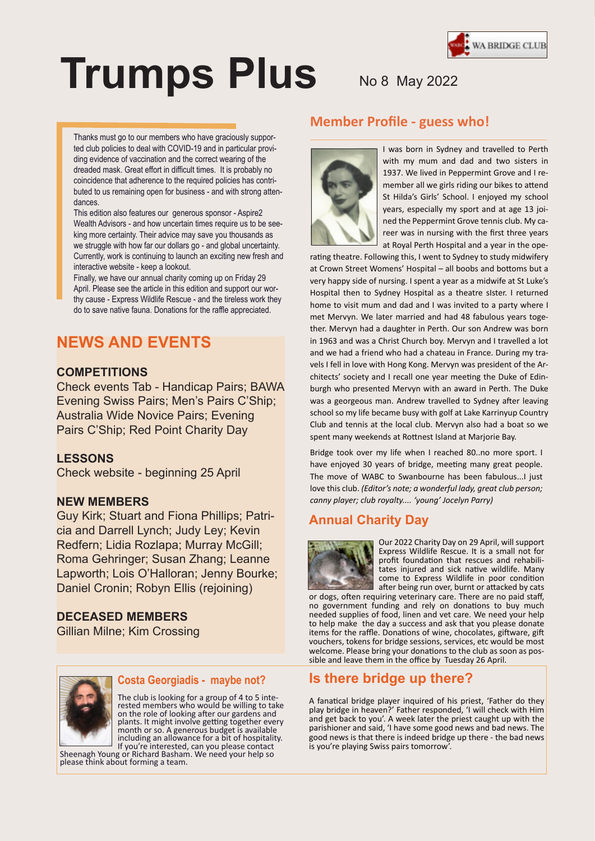

# **Trumps Plus** No 8 May 2022

Thanks must go to our members who have graciously supported club policies to deal with COVID-19 and in particular providing evidence of vaccination and the correct wearing of the dreaded mask. Great effort in difficult times. It is probably no coincidence that adherence to the required policies has contributed to us remaining open for business - and with strong attendances.

This edition also features our generous sponsor - Aspire2 Wealth Advisors - and how uncertain times require us to be seeking more certainty. Their advice may save you thousands as we struggle with how far our dollars go - and global uncertainty. Currently, work is continuing to launch an exciting new fresh and interactive website - keep a lookout.

Finally, we have our annual charity coming up on Friday 29 April. Please see the article in this edition and support our worthy cause - Express Wildlife Rescue - and the tireless work they do to save native fauna. Donations for the raffle appreciated.

## **NEWS AND EVENTS**

## **COMPETITIONS**

Check events Tab - Handicap Pairs; BAWA Evening Swiss Pairs; Men's Pairs C'Ship; Australia Wide Novice Pairs; Evening Pairs C'Ship; Red Point Charity Day

## **LESSONS**

Check website - beginning 25 April

## **NEW MEMBERS**

Guy Kirk; Stuart and Fiona Phillips; Patricia and Darrell Lynch; Judy Ley; Kevin Redfern; Lidia Rozlapa; Murray McGill; Roma Gehringer; Susan Zhang; Leanne Lapworth; Lois O'Halloran; Jenny Bourke; Daniel Cronin; Robyn Ellis (rejoining)

## **DECEASED MEMBERS**

Gillian Milne; Kim Crossing



### **Costa Georgiadis - maybe not?** Lorem ipsum dolor sit amet, consectetuer

The club is looking for a group of 4 to 5 inteested members who would be willing to ta plants. It might involve getting together every month or so. A generous budget is available rae; If you're interested, can you please contact rested members who would be willing to take including an allowance for a bit of hospitality.

Sheenagh Young or Richard Basham. We need your help so please think about forming a team.

## **Member Profile - guess who!**



I was born in Sydney and travelled to Perth with my mum and dad and two sisters in 1937. We lived in Peppermint Grove and I remember all we girls riding our bikes to attend St Hilda's Girls' School. I enjoyed my school years, especially my sport and at age 13 joined the Peppermint Grove tennis club. My career was in nursing with the first three years at Royal Perth Hospital and a year in the ope-

rating theatre. Following this, I went to Sydney to study midwifery at Crown Street Womens' Hospital – all boobs and bottoms but a very happy side of nursing. I spent a year as a midwife at St Luke's Hospital then to Sydney Hospital as a theatre sIster. I returned home to visit mum and dad and I was invited to a party where I met Mervyn. We later married and had 48 fabulous years together. Mervyn had a daughter in Perth. Our son Andrew was born in 1963 and was a Christ Church boy. Mervyn and I travelled a lot and we had a friend who had a chateau in France. During my travels I fell in love with Hong Kong. Mervyn was president of the Architects' society and I recall one year meeting the Duke of Edinburgh who presented Mervyn with an award in Perth. The Duke was a georgeous man. Andrew travelled to Sydney after leaving school so my life became busy with golf at Lake Karrinyup Country Club and tennis at the local club. Mervyn also had a boat so we spent many weekends at Rottnest Island at Marjorie Bay.

Bridge took over my life when I reached 80..no more sport. I have enjoyed 30 years of bridge, meeting many great people. The move of WABC to Swanbourne has been fabulous...I just love this club. *(Editor's note; a wonderful lady, great club person; canny player; club royalty.... 'young' Jocelyn Parry)*

## **Annual Charity Day**



Our 2022 Charity Day on 29 April, will support Express Wildlife Rescue. It is a small not for profit foundation that rescues and rehabilitates injured and sick native wildlife. Many come to Express Wildlife in poor condition after being run over, burnt or attacked by cats

or dogs, often requiring veterinary care. There are no paid staff, no government funding and rely on donations to buy much needed supplies of food, linen and vet care. We need your help to help make the day a success and ask that you please donate items for the raffle. Donations of wine, chocolates, giftware, gift vouchers, tokens for bridge sessions, services, etc would be most welcome. Please bring your donations to the club as soon as possible and leave them in the office by Tuesday 26 April.

## **Is there bridge up there?**

A fanatical bridge player inquired of his priest, 'Father do they play bridge in heaven?' Father responded, 'I will check with Him and get back to you'. A week later the priest caught up with the parishioner and said, 'I have some good news and bad news. The good news is that there is indeed bridge up there - the bad news is you're playing Swiss pairs tomorrow'.